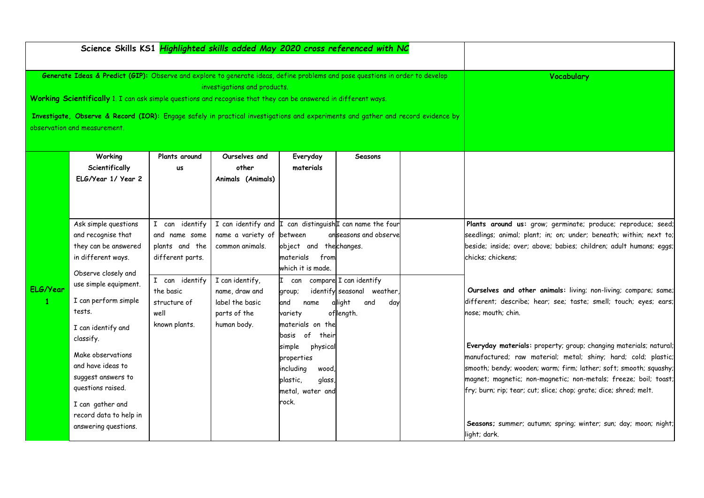|              | Science Skills KS1 Highlighted skills added May 2020 cross referenced with NC                                                                                    |                              |                    |                         |                                       |  |                                                                    |
|--------------|------------------------------------------------------------------------------------------------------------------------------------------------------------------|------------------------------|--------------------|-------------------------|---------------------------------------|--|--------------------------------------------------------------------|
|              | Generate Ideas & Predict (GIP): Observe and explore to generate ideas, define problems and pose questions in order to develop                                    | investigations and products. | <b>Vocabulary</b>  |                         |                                       |  |                                                                    |
|              | Working Scientifically 1. I can ask simple questions and recognise that they can be answered in different ways.                                                  |                              |                    |                         |                                       |  |                                                                    |
|              | Investigate, Observe & Record (IOR): Engage safely in practical investigations and experiments and gather and record evidence by<br>observation and measurement. |                              |                    |                         |                                       |  |                                                                    |
|              | Working                                                                                                                                                          | Plants around                | Ourselves and      | Everyday                | Seasons                               |  |                                                                    |
|              | Scientifically                                                                                                                                                   | <b>us</b>                    | other              | materials               |                                       |  |                                                                    |
|              | ELG/Year 1/ Year 2                                                                                                                                               |                              | Animals (Animals)  |                         |                                       |  |                                                                    |
|              |                                                                                                                                                                  |                              |                    |                         |                                       |  |                                                                    |
|              | Ask simple questions                                                                                                                                             | I can identify               | I can identify and |                         | I can distinguish I can name the four |  | Plants around us: grow; germinate; produce; reproduce; seed;       |
|              | and recognise that                                                                                                                                               | and name some                | name a variety of  | between                 | anseasons and observe                 |  | seedlings; animal; plant; in; on; under; beneath; within; next to; |
|              | they can be answered                                                                                                                                             | plants and the               | common animals.    | object and the changes. |                                       |  | beside; inside; over; above; babies; children; adult humans; eggs; |
|              | in different ways.                                                                                                                                               | different parts.             |                    | from<br>materials       |                                       |  | chicks; chickens;                                                  |
|              | Observe closely and                                                                                                                                              |                              |                    | which it is made.       |                                       |  |                                                                    |
|              | use simple equipment.                                                                                                                                            | I can identify               | I can identify,    |                         | can compare I can identify            |  |                                                                    |
| ELG/Year     |                                                                                                                                                                  | the basic                    | name, draw and     | group;                  | identify seasonal weather,            |  | Ourselves and other animals: living; non-living; compare; same;    |
| $\mathbf{1}$ | I can perform simple                                                                                                                                             | structure of                 | label the basic    | and<br>name             | allight<br>and<br>day                 |  | different; describe; hear; see; taste; smell; touch; eyes; ears;   |
|              | tests.                                                                                                                                                           | well                         | parts of the       | variety                 | oflength.                             |  | nose: mouth: chin.                                                 |
|              | I can identify and                                                                                                                                               | known plants.                | human body.        | materials on the        |                                       |  |                                                                    |
|              | classify.                                                                                                                                                        |                              |                    | of<br>their<br>basis    |                                       |  |                                                                    |
|              | Make observations                                                                                                                                                |                              |                    | simple<br>physical      |                                       |  | Everyday materials: property; group; changing materials; natural;  |
|              | and have ideas to                                                                                                                                                |                              |                    | properties              |                                       |  | manufactured; raw material; metal; shiny; hard; cold; plastic;     |
|              | suggest answers to                                                                                                                                               |                              |                    | including<br>wood,      |                                       |  | smooth; bendy; wooden; warm; firm; lather; soft; smooth; squashy;  |
|              | questions raised.                                                                                                                                                |                              |                    | plastic,<br>glass,      |                                       |  | magnet; magnetic; non-magnetic; non-metals; freeze; boil; toast;   |
|              |                                                                                                                                                                  |                              |                    | metal, water and        |                                       |  | fry; burn; rip; tear; cut; slice; chop; grate; dice; shred; melt.  |
|              | I can gather and                                                                                                                                                 |                              |                    | rock.                   |                                       |  |                                                                    |
|              | record data to help in                                                                                                                                           |                              |                    |                         |                                       |  |                                                                    |
|              | answering questions.                                                                                                                                             |                              |                    |                         |                                       |  | Seasons; summer; autumn; spring; winter; sun; day; moon; night;    |
|              |                                                                                                                                                                  |                              |                    |                         |                                       |  | light; dark.                                                       |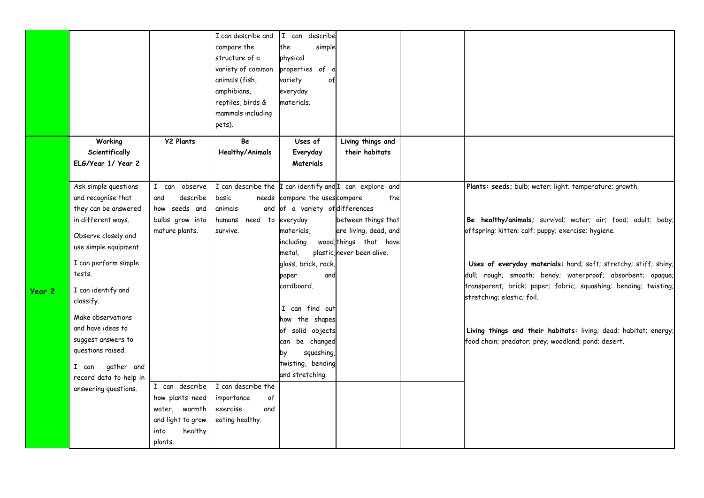|        |                        |                   | I can describe and                                           | I can describe                  |                            |                                                                  |
|--------|------------------------|-------------------|--------------------------------------------------------------|---------------------------------|----------------------------|------------------------------------------------------------------|
|        |                        |                   | compare the                                                  | the<br>simple                   |                            |                                                                  |
|        |                        |                   | structure of a                                               | physical                        |                            |                                                                  |
|        |                        |                   | variety of common                                            | properties of                   |                            |                                                                  |
|        |                        |                   | animals (fish,                                               | variety<br>of                   |                            |                                                                  |
|        |                        |                   | amphibians,                                                  | everyday                        |                            |                                                                  |
|        |                        |                   | reptiles, birds &                                            | materials.                      |                            |                                                                  |
|        |                        |                   |                                                              |                                 |                            |                                                                  |
|        |                        |                   | mammals including                                            |                                 |                            |                                                                  |
|        |                        |                   | pets).                                                       |                                 |                            |                                                                  |
|        | Working                | <b>Y2 Plants</b>  | Be                                                           | Uses of                         | Living things and          |                                                                  |
|        | Scientifically         |                   | <b>Healthy/Animals</b>                                       | Everyday                        | their habitats             |                                                                  |
|        | ELG/Year 1/ Year 2     |                   |                                                              | Materials                       |                            |                                                                  |
|        |                        |                   |                                                              |                                 |                            |                                                                  |
|        | Ask simple questions   | I can observe     | I can describe the $\ $ I can identify and I can explore and |                                 |                            | Plants: seeds; bulb; water; light; temperature; growth.          |
|        | and recognise that     | describe<br>and   | basic                                                        | needs compare the uses compare  | the                        |                                                                  |
|        | they can be answered   | how seeds and     | animals                                                      | and of a variety of differences |                            |                                                                  |
|        | in different ways.     | bulbs grow into   | humans need to everyday                                      |                                 | between things that        | Be healthy/animals; survival; water; air; food; adult; baby;     |
|        | Observe closely and    | mature plants.    | survive.                                                     | materials,                      | are living, dead, and      | offspring; kitten; calf; puppy; exercise; hygiene.               |
|        |                        |                   |                                                              | including                       | wood, things that have     |                                                                  |
|        | use simple equipment.  |                   |                                                              | metal,                          | plastic, never been alive. |                                                                  |
|        | I can perform simple   |                   |                                                              | glass, brick, rock,             |                            | Uses of everyday materials: hard; soft; stretchy; stiff; shiny;  |
|        | tests.                 |                   |                                                              | paper<br>and                    |                            | dull; rough; smooth; bendy; waterproof; absorbent; opaque;       |
|        | I can identify and     |                   |                                                              | cardboard.                      |                            | transparent; brick; paper; fabric; squashing; bending; twisting; |
| Year 2 | classify.              |                   |                                                              |                                 |                            | stretching; elastic; foil.                                       |
|        |                        |                   |                                                              | I can find out                  |                            |                                                                  |
|        | Make observations      |                   |                                                              | how the shapes                  |                            |                                                                  |
|        | and have ideas to      |                   |                                                              | of solid objects                |                            | Living things and their habitats: living; dead; habitat; energy; |
|        | suggest answers to     |                   |                                                              | can be changed                  |                            | food chain; predator; prey; woodland; pond; desert.              |
|        | questions raised.      |                   |                                                              | squashing,<br>by                |                            |                                                                  |
|        | gather and<br>I can    |                   |                                                              | twisting, bending               |                            |                                                                  |
|        | record data to help in |                   |                                                              | and stretching.                 |                            |                                                                  |
|        | answering questions.   | I can describe    | I can describe the                                           |                                 |                            |                                                                  |
|        |                        | how plants need   | of<br>importance                                             |                                 |                            |                                                                  |
|        |                        | water, warmth     | exercise<br>and                                              |                                 |                            |                                                                  |
|        |                        | and light to grow | eating healthy.                                              |                                 |                            |                                                                  |
|        |                        |                   |                                                              |                                 |                            |                                                                  |
|        |                        | healthy<br>into   |                                                              |                                 |                            |                                                                  |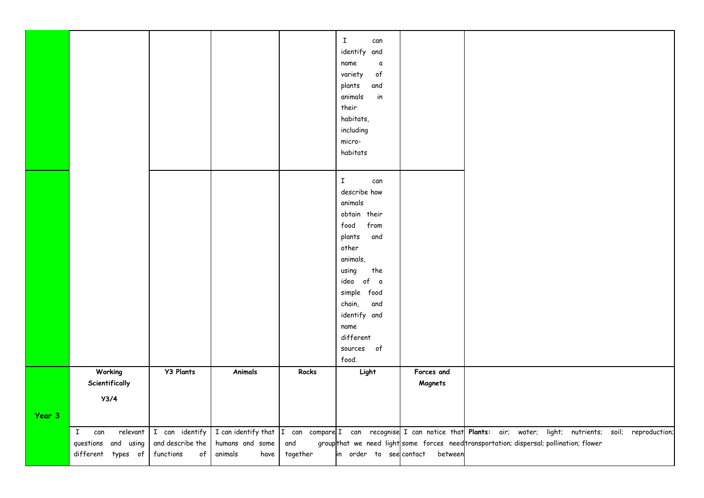|        |                                                                              |                                                       |                                                           |                 | $\mathbf I$<br>can<br>identify and<br>name<br>$\mathfrak a$<br>variety<br>$\mathfrak{o}\mathsf{f}$<br>plants<br>and<br>animals<br>in<br>their<br>habitats,<br>including<br>micro-<br>habitats |                                 |                                                                                                                                                                                                      |  |
|--------|------------------------------------------------------------------------------|-------------------------------------------------------|-----------------------------------------------------------|-----------------|-----------------------------------------------------------------------------------------------------------------------------------------------------------------------------------------------|---------------------------------|------------------------------------------------------------------------------------------------------------------------------------------------------------------------------------------------------|--|
|        |                                                                              |                                                       |                                                           |                 | $\mathbf I$<br>can<br>describe how                                                                                                                                                            |                                 |                                                                                                                                                                                                      |  |
|        |                                                                              |                                                       |                                                           |                 | animals<br>obtain their<br>from<br>food                                                                                                                                                       |                                 |                                                                                                                                                                                                      |  |
|        |                                                                              |                                                       |                                                           |                 | and<br>plants<br>other<br>animals,<br>the<br>using                                                                                                                                            |                                 |                                                                                                                                                                                                      |  |
|        |                                                                              |                                                       |                                                           |                 | idea of a<br>simple food<br>chain,<br>and                                                                                                                                                     |                                 |                                                                                                                                                                                                      |  |
|        |                                                                              |                                                       |                                                           |                 | identify and<br>name<br>different                                                                                                                                                             |                                 |                                                                                                                                                                                                      |  |
|        |                                                                              |                                                       |                                                           |                 | sources of<br>food.                                                                                                                                                                           |                                 |                                                                                                                                                                                                      |  |
|        | Working<br>Scientifically                                                    | <b>Y3 Plants</b>                                      | Animals                                                   | Rocks           | Light                                                                                                                                                                                         | Forces and<br>Magnets           |                                                                                                                                                                                                      |  |
| Year 3 | Y3/4                                                                         |                                                       |                                                           |                 |                                                                                                                                                                                               |                                 |                                                                                                                                                                                                      |  |
|        | relevant<br>$\mathbf{I}$<br>can<br>questions and using<br>different types of | I can identify<br>and describe the<br>functions<br>of | I can identify that<br>humans and some<br>animals<br>have | and<br>together |                                                                                                                                                                                               | in order to see contact between | I can compare I can recognise I can notice that Plants: air; water; light; nutrients; soil; reproduction;<br>groupthat we need light some forces need transportation; dispersal; pollination; flower |  |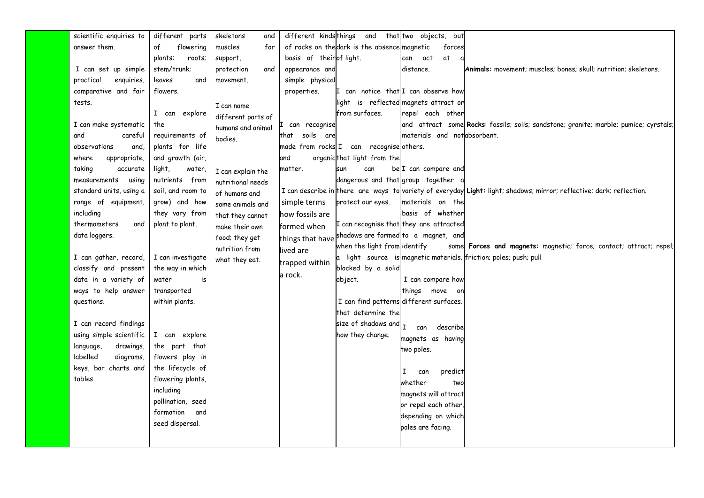| scientific enquiries to | different parts                    | skeletons<br>and   |                         | different kindsthings and that two objects, but |                                      |                                                                                                                      |
|-------------------------|------------------------------------|--------------------|-------------------------|-------------------------------------------------|--------------------------------------|----------------------------------------------------------------------------------------------------------------------|
| answer them.            | flowering<br>of                    | muscles<br>for     |                         | of rocks on the dark is the absence magnetic    | forces                               |                                                                                                                      |
|                         | roots;<br>plants:                  | support,           | basis of theirof light. |                                                 | αt<br>can<br>act                     |                                                                                                                      |
| I can set up simple     | stem/trunk;                        | protection<br>and  | appearance and          |                                                 | distance.                            | Animals: movement; muscles; bones; skull; nutrition; skeletons.                                                      |
| practical<br>enquiries  | leaves<br>and                      | movement.          | simple physical         |                                                 |                                      |                                                                                                                      |
| comparative and fair    | flowers.                           |                    | properties.             | I can notice that I can observe how             |                                      |                                                                                                                      |
| tests.                  |                                    | I can name         |                         |                                                 | ight is reflected magnets attract or |                                                                                                                      |
|                         | I can explore                      | different parts of |                         | from surfaces.                                  | repel each other                     |                                                                                                                      |
| I can make systematic   | the                                | humans and animal  | can recognise           |                                                 |                                      | and attract some Rocks: fossils; soils; sandstone; granite; marble; pumice; cyrstals;                                |
| and<br>careful          | requirements of                    | bodies.            | that soils are          |                                                 | materials and notabsorbent.          |                                                                                                                      |
| observations<br>and,    | plants for life                    |                    |                         | made from rocks I can recognise others.         |                                      |                                                                                                                      |
| appropriate,<br>where   | and growth (air,                   |                    | and                     | organicthat light from the                      |                                      |                                                                                                                      |
| taking<br>accurate      | light,<br>water,                   | I can explain the  | matter.                 | can<br>sun                                      | be I can compare and                 |                                                                                                                      |
| measurements<br>using   | nutrients from                     | nutritional needs  |                         | dangerous and that group together               |                                      |                                                                                                                      |
| standard units, using a | soil, and room to                  | of humans and      |                         |                                                 |                                      | I can describe in there are ways to variety of everyday Light: light; shadows; mirror; reflective; dark; reflection. |
| range of equipment,     | grow) and how                      | some animals and   | simple terms            | protect our eyes.                               | materials on the                     |                                                                                                                      |
| including               | they vary from                     | that they cannot   | how fossils are         |                                                 | basis of whether                     |                                                                                                                      |
| thermometers<br>and     | plant to plant.                    | make their own     | formed when             | I can recognise that they are attracted         |                                      |                                                                                                                      |
| data loggers.           |                                    | food; they get     | things that have        | shadows are formed to a magnet, and             |                                      |                                                                                                                      |
|                         |                                    | nutrition from     | lived are               | when the light from identify                    |                                      | some Forces and magnets: magnetic; force; contact; attract; repel;                                                   |
| I can gather, record,   | I can investigate                  | what they eat.     | trapped within          |                                                 |                                      | a light source is magnetic materials. friction; poles; push; pull                                                    |
| classify and present    | the way in which                   |                    | a rock.                 | blocked by a solid                              |                                      |                                                                                                                      |
| data in a variety of    | water<br>is                        |                    |                         | object.                                         | I can compare how                    |                                                                                                                      |
| ways to help answer     | transported                        |                    |                         |                                                 | things move on                       |                                                                                                                      |
| questions.              | within plants.                     |                    |                         | I can find patterns different surfaces.         |                                      |                                                                                                                      |
|                         |                                    |                    |                         | that determine the                              |                                      |                                                                                                                      |
| I can record findings   |                                    |                    |                         | size of shadows and $_{\rm I}$ $_{\rm can}$     | describe                             |                                                                                                                      |
| using simple scientific | I can explore                      |                    |                         | how they change.                                | magnets as having                    |                                                                                                                      |
| language,<br>drawings,  | the part that                      |                    |                         |                                                 | two poles.                           |                                                                                                                      |
| labelled<br>diagrams    | flowers play in                    |                    |                         |                                                 |                                      |                                                                                                                      |
| keys, bar charts and    | the lifecycle of                   |                    |                         |                                                 | I<br>predict<br>can                  |                                                                                                                      |
| tables                  | flowering plants,                  |                    |                         |                                                 | whether<br>two                       |                                                                                                                      |
|                         | including                          |                    |                         |                                                 | magnets will attract                 |                                                                                                                      |
|                         | pollination, seed<br>formation and |                    |                         |                                                 | or repel each other,                 |                                                                                                                      |
|                         |                                    |                    |                         |                                                 | depending on which                   |                                                                                                                      |
|                         | seed dispersal.                    |                    |                         |                                                 | poles are facing.                    |                                                                                                                      |
|                         |                                    |                    |                         |                                                 |                                      |                                                                                                                      |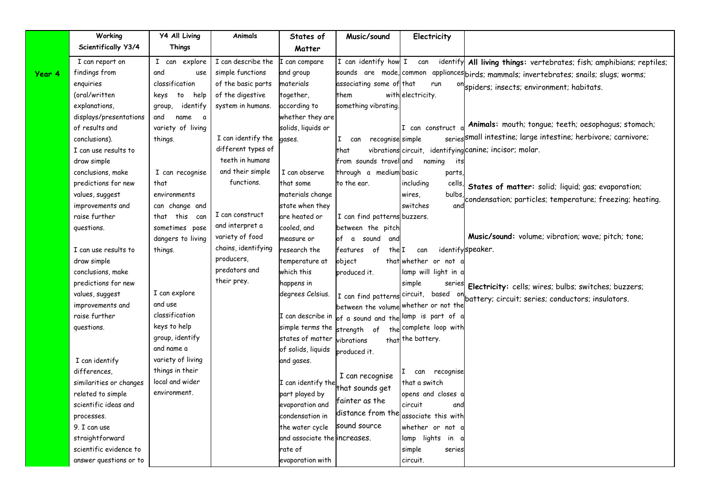|        | Working                         | <b>Y4 All Living</b>               | Animals             | States of                                       | Music/sound                           | Electricity                           |                                                                                         |
|--------|---------------------------------|------------------------------------|---------------------|-------------------------------------------------|---------------------------------------|---------------------------------------|-----------------------------------------------------------------------------------------|
|        | Scientifically Y3/4             | <b>Things</b>                      |                     | Matter                                          |                                       |                                       |                                                                                         |
|        | I can report on                 | I can explore                      | I can describe the  | can compare                                     | I can identify how I can              |                                       | identify All living things: vertebrates; fish; amphibians; reptiles;                    |
| Year 4 | findings from                   | and<br>use                         | simple functions    | and group                                       |                                       |                                       | sounds are made, common appliances birds; mammals; invertebrates; snails; slugs; worms; |
|        | enquiries                       | classification                     | of the basic parts  | materials                                       | associating some of that              | run                                   | <sup>on</sup> spiders; insects; environment; habitats.                                  |
|        | (oral/written                   | help<br>keys<br>to                 | of the digestive    | together,                                       | them                                  | with electricity.                     |                                                                                         |
|        | explanations,                   | identify<br>group,                 | system in humans.   | according to                                    | something vibrating.                  |                                       |                                                                                         |
|        | displays/presentations          | and<br>name<br>a                   |                     | whether they are                                |                                       |                                       |                                                                                         |
|        | of results and                  | variety of living                  |                     | solids, liquids or                              |                                       | I can construct                       | Animals: mouth; tongue; teeth; oesophagus; stomach;                                     |
|        | conclusions).                   | things.                            | I can identify the  | gases.                                          | recognise simple<br>I.<br>can         |                                       | series small intestine; large intestine; herbivore; carnivore;                          |
|        | I can use results to            |                                    | different types of  |                                                 | that                                  |                                       | vibrations circuit, identifying canine; incisor; molar.                                 |
|        | draw simple                     |                                    | teeth in humans     |                                                 | from sounds travel and                | naming<br>its                         |                                                                                         |
|        | conclusions, make               | I can recognise                    | and their simple    | I can observe                                   | through a medium basic                | parts,                                |                                                                                         |
|        | predictions for new             | that                               | functions.          | that some                                       | to the ear.                           | including<br>cells,                   | States of matter: solid; liquid; gas; evaporation;                                      |
|        | values, suggest                 | environments                       |                     | materials change                                |                                       | wires,<br>bulbs                       | condensation; particles; temperature; freezing; heating.                                |
|        | improvements and                | can change and                     |                     | state when they                                 |                                       | switches<br>and                       |                                                                                         |
|        | raise further                   | that this can                      | I can construct     | are heated or                                   | I can find patterns buzzers.          |                                       |                                                                                         |
|        | questions.                      | sometimes pose                     | and interpret a     | cooled, and                                     | between the pitch                     |                                       |                                                                                         |
|        |                                 | dangers to living                  | variety of food     | measure or                                      | of a sound<br>and                     |                                       | Music/sound: volume; vibration; wave; pitch; tone;                                      |
|        | I can use results to            | things.                            | chains, identifying | research the                                    | of<br>thelI<br>features               | can                                   | identifyspeaker.                                                                        |
|        | draw simple                     |                                    | producers,          | temperature at                                  | object                                | that whether or not                   |                                                                                         |
|        | conclusions, make               |                                    | predators and       | which this                                      | produced it.                          | lamp will light in a                  |                                                                                         |
|        | predictions for new             |                                    | their prey.         | happens in                                      |                                       | simple<br>series                      | Electricity: cells; wires; bulbs; switches; buzzers;                                    |
|        | values, suggest                 | I can explore                      |                     | degrees Celsius.                                | I can find patterns circuit,          |                                       | based on battery; circuit; series; conductors; insulators.                              |
|        | improvements and                | and use                            |                     |                                                 | between the volume whether or not the |                                       |                                                                                         |
|        | raise further                   | classification                     |                     | I can describe in                               | of a sound and the lamp is part of a  |                                       |                                                                                         |
|        | questions.                      | keys to help                       |                     | simple terms the strength of                    |                                       | the complete loop with                |                                                                                         |
|        |                                 | group, identify                    |                     | states of matter                                | vibrations                            | that the battery.                     |                                                                                         |
|        |                                 | and name a                         |                     | of solids, liquids                              | produced it.                          |                                       |                                                                                         |
|        | I can identify                  | variety of living                  |                     | and gases.                                      |                                       |                                       |                                                                                         |
|        | differences,                    | things in their<br>local and wider |                     |                                                 | I can recognise                       | can recognise<br>T.                   |                                                                                         |
|        | similarities or changes         |                                    |                     | I can identify the                              | that sounds get                       | that a switch                         |                                                                                         |
|        | related to simple               | environment.                       |                     | part played by                                  | fainter as the                        | opens and closes a                    |                                                                                         |
|        | scientific ideas and            |                                    |                     | evaporation and                                 | distance from the                     | circuit<br>ana<br>associate this with |                                                                                         |
|        | processes.                      |                                    |                     | condensation in                                 | sound source                          |                                       |                                                                                         |
|        | 9. I can use<br>straightforward |                                    |                     | the water cycle<br>and associate the increases. |                                       | whether or not a                      |                                                                                         |
|        | scientific evidence to          |                                    |                     | rate of                                         |                                       | lamp lights in a<br>series            |                                                                                         |
|        |                                 |                                    |                     |                                                 |                                       | simple                                |                                                                                         |
|        | answer questions or to          |                                    |                     | evaporation with                                |                                       | circuit.                              |                                                                                         |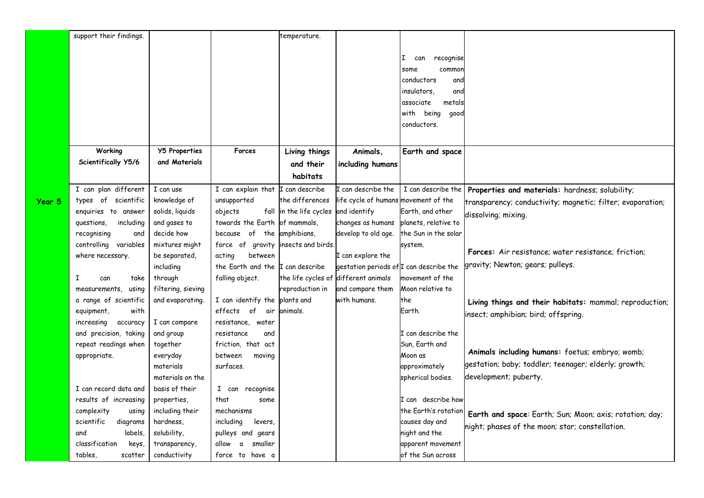|        | support their findings. |                      |                                          | temperature.            |                                         |                         |                                                            |
|--------|-------------------------|----------------------|------------------------------------------|-------------------------|-----------------------------------------|-------------------------|------------------------------------------------------------|
|        |                         |                      |                                          |                         |                                         |                         |                                                            |
|        |                         |                      |                                          |                         |                                         | recognise<br>II.<br>can |                                                            |
|        |                         |                      |                                          |                         |                                         | common<br>some          |                                                            |
|        |                         |                      |                                          |                         |                                         | conductors<br>and       |                                                            |
|        |                         |                      |                                          |                         |                                         | insulators.<br>and      |                                                            |
|        |                         |                      |                                          |                         |                                         | associate<br>metals     |                                                            |
|        |                         |                      |                                          |                         |                                         | being<br>with<br>qood   |                                                            |
|        |                         |                      |                                          |                         |                                         | conductors.             |                                                            |
|        |                         |                      |                                          |                         |                                         |                         |                                                            |
|        | Working                 | <b>Y5 Properties</b> | Forces                                   | Living things           | Animals,                                | Earth and space         |                                                            |
|        | Scientifically Y5/6     | and Materials        |                                          |                         |                                         |                         |                                                            |
|        |                         |                      |                                          | and their               | including humans                        |                         |                                                            |
|        |                         |                      |                                          | habitats                |                                         |                         |                                                            |
|        | I can plan different    | I can use            | I can explain that $\Gamma$ can describe |                         | I can describe the                      | I can describe the      | Properties and materials: hardness; solubility;            |
| Year 5 | types of scientific     | knowledge of         | unsupported                              | the differences         | life cycle of humans movement of the    |                         | transparency; conductivity; magnetic; filter; evaporation; |
|        | enquiries to answer     | solids, liquids      | objects                                  | fall in the life cycles | and identify                            | Earth, and other        | dissolving; mixing.                                        |
|        | questions,<br>including | and gases to         | towards the Earth                        | of mammals,             | changes as humans                       | planets, relative to    |                                                            |
|        | recognising<br>and      | decide how           | because of the                           | amphibians,             | develop to old age.                     | the Sun in the solar    |                                                            |
|        | controlling variables   | mixtures might       | force of gravity                         | insects and birds.      |                                         | system.                 |                                                            |
|        | where necessary.        | be separated,        | acting<br>between                        |                         | I can explore the                       |                         | Forces: Air resistance; water resistance; friction;        |
|        |                         | including            | the Earth and the I can describe         |                         | gestation periods of I can describe the |                         | gravity; Newton; gears; pulleys.                           |
|        | I<br>take<br>can        | through              | falling object.                          |                         | the life cycles of different animals    | movement of the         |                                                            |
|        | measurements, using     | filtering, sieving   |                                          | reproduction in         | and compare them                        | Moon relative to        |                                                            |
|        | a range of scientific   | and evaporating.     | I can identify the plants and            |                         | with humans.                            | the                     | Living things and their habitats: mammal; reproduction;    |
|        | with<br>equipment,      |                      | effects of<br>air                        | animals.                |                                         | Earth.                  |                                                            |
|        | accuracy<br>increasing  | I can compare        | resistance, water                        |                         |                                         |                         | insect; amphibian; bird; offspring.                        |
|        | and precision, taking   | and group            | resistance<br>and                        |                         |                                         | I can describe the      |                                                            |
|        | repeat readings when    | together             | friction, that act                       |                         |                                         | Sun, Earth and          |                                                            |
|        | appropriate.            | everyday             | between<br>moving                        |                         |                                         | Moon as                 | Animals including humans: foetus; embryo; womb;            |
|        |                         | materials            | surfaces.                                |                         |                                         | approximately           | gestation; baby; toddler; teenager; elderly; growth;       |
|        |                         | materials on the     |                                          |                         |                                         | spherical bodies.       | development; puberty.                                      |
|        | I can record data and   | basis of their       | I can recognise                          |                         |                                         |                         |                                                            |
|        | results of increasing   | properties,          | that<br>some                             |                         |                                         | I can describe how      |                                                            |
|        | complexity<br>using     | including their      | mechanisms                               |                         |                                         | the Earth's rotation    |                                                            |
|        | scientific<br>diagrams  | hardness,            | including<br>levers,                     |                         |                                         | causes day and          | Earth and space: Earth; Sun; Moon; axis; rotation; day;    |
|        | labels,<br>and          | solubility,          | pulleys and gears                        |                         |                                         | night and the           | night; phases of the moon; star; constellation.            |
|        | classification          |                      | allow<br>smaller<br>$\mathfrak{a}$       |                         |                                         | apparent movement       |                                                            |
|        | keys,                   | transparency,        |                                          |                         |                                         |                         |                                                            |
|        | tables,<br>scatter      | conductivity         | force to have a                          |                         |                                         | of the Sun across       |                                                            |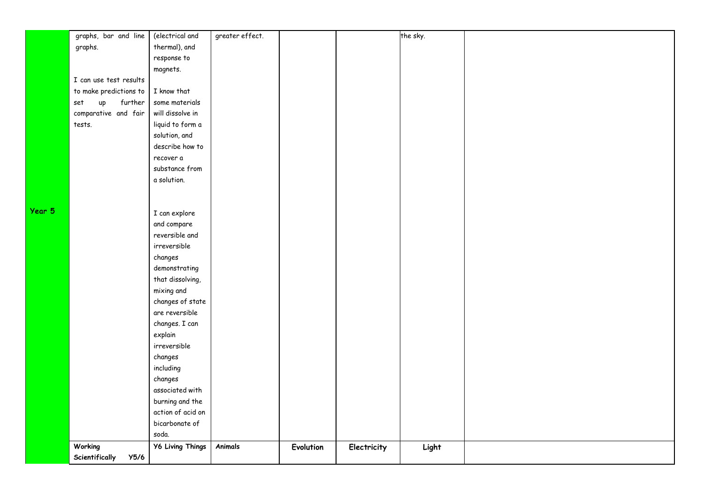|        | graphs, bar and line   | (electrical and         | greater effect. |           |             | the sky. |  |
|--------|------------------------|-------------------------|-----------------|-----------|-------------|----------|--|
|        | graphs.                | thermal), and           |                 |           |             |          |  |
|        |                        | response to             |                 |           |             |          |  |
|        |                        | magnets.                |                 |           |             |          |  |
|        | I can use test results |                         |                 |           |             |          |  |
|        | to make predictions to | I know that             |                 |           |             |          |  |
|        | further<br>up<br>set   | some materials          |                 |           |             |          |  |
|        | comparative and fair   | will dissolve in        |                 |           |             |          |  |
|        | tests.                 | liquid to form a        |                 |           |             |          |  |
|        |                        | solution, and           |                 |           |             |          |  |
|        |                        | describe how to         |                 |           |             |          |  |
|        |                        | recover a               |                 |           |             |          |  |
|        |                        | substance from          |                 |           |             |          |  |
|        |                        | a solution.             |                 |           |             |          |  |
|        |                        |                         |                 |           |             |          |  |
|        |                        |                         |                 |           |             |          |  |
| Year 5 |                        | I can explore           |                 |           |             |          |  |
|        |                        | and compare             |                 |           |             |          |  |
|        |                        | reversible and          |                 |           |             |          |  |
|        |                        | irreversible            |                 |           |             |          |  |
|        |                        | changes                 |                 |           |             |          |  |
|        |                        | demonstrating           |                 |           |             |          |  |
|        |                        | that dissolving,        |                 |           |             |          |  |
|        |                        | mixing and              |                 |           |             |          |  |
|        |                        | changes of state        |                 |           |             |          |  |
|        |                        | are reversible          |                 |           |             |          |  |
|        |                        | changes. I can          |                 |           |             |          |  |
|        |                        | explain                 |                 |           |             |          |  |
|        |                        | irreversible            |                 |           |             |          |  |
|        |                        | changes                 |                 |           |             |          |  |
|        |                        | including               |                 |           |             |          |  |
|        |                        | changes                 |                 |           |             |          |  |
|        |                        | associated with         |                 |           |             |          |  |
|        |                        | burning and the         |                 |           |             |          |  |
|        |                        | action of acid on       |                 |           |             |          |  |
|        |                        | bicarbonate of          |                 |           |             |          |  |
|        |                        | soda.                   |                 |           |             |          |  |
|        | Working                | <b>Y6 Living Things</b> | Animals         | Evolution | Electricity | Light    |  |
|        | Scientifically<br>Y5/6 |                         |                 |           |             |          |  |
|        |                        |                         |                 |           |             |          |  |